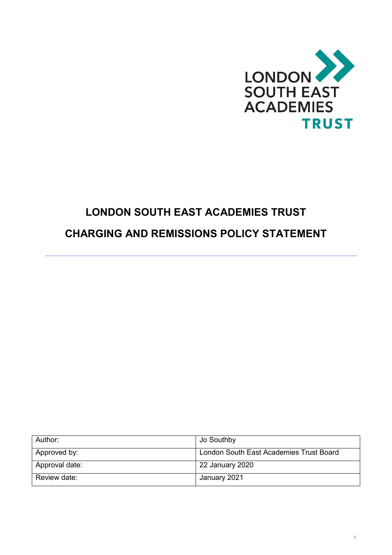

# **LONDON SOUTH EAST ACADEMIES TRUST**

# **CHARGING AND REMISSIONS POLICY STATEMENT**

| Author:        | Jo Southby                              |
|----------------|-----------------------------------------|
| Approved by:   | London South East Academies Trust Board |
| Approval date: | 22 January 2020                         |
| Review date:   | January 2021                            |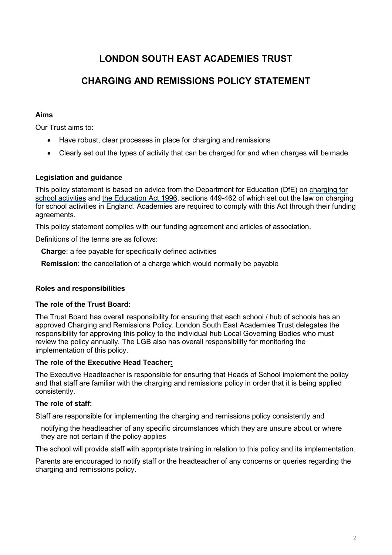## **LONDON SOUTH EAST ACADEMIES TRUST**

### **CHARGING AND REMISSIONS POLICY STATEMENT**

#### **Aims**

Our Trust aims to:

- Have robust, clear processes in place for charging and remissions
- Clearly set out the types of activity that can be charged for and when charges will be made

#### **Legislation and guidance**

This policy statement is based on advice from the Department for Education (DfE) on [charging for](https://www.gov.uk/government/publications/charging-for-school-activities) [school activities](https://www.gov.uk/government/publications/charging-for-school-activities) and [the Education Act 1996,](http://www.legislation.gov.uk/ukpga/1996/56/part/VI/chapter/III) sections 449-462 of which set out the law on charging for school activities in England. Academies are required to comply with this Act through their funding agreements.

This policy statement complies with our funding agreement and articles of association.

Definitions of the terms are as follows:

**Charge**: a fee payable for specifically defined activities

**Remission**: the cancellation of a charge which would normally be payable

#### **Roles and responsibilities**

#### **The role of the Trust Board:**

The Trust Board has overall responsibility for ensuring that each school / hub of schools has an approved Charging and Remissions Policy. London South East Academies Trust delegates the responsibility for approving this policy to the individual hub Local Governing Bodies who must review the policy annually. The LGB also has overall responsibility for monitoring the implementation of this policy.

#### **The role of the Executive Head Teacher:**

The Executive Headteacher is responsible for ensuring that Heads of School implement the policy and that staff are familiar with the charging and remissions policy in order that it is being applied consistently.

#### **The role of staff:**

Staff are responsible for implementing the charging and remissions policy consistently and

notifying the headteacher of any specific circumstances which they are unsure about or where they are not certain if the policy applies

The school will provide staff with appropriate training in relation to this policy and its implementation.

Parents are encouraged to notify staff or the headteacher of any concerns or queries regarding the charging and remissions policy.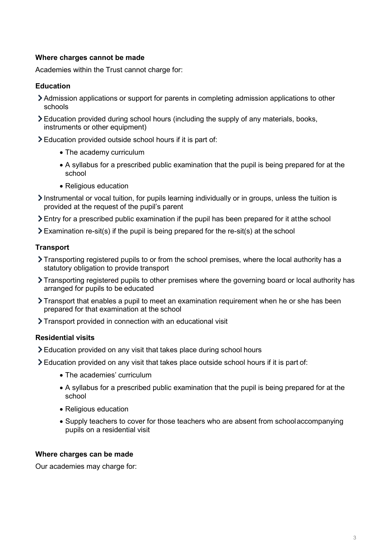#### **Where charges cannot be made**

Academies within the Trust cannot charge for:

#### **Education**

- Admission applications or support for parents in completing admission applications to other schools
- Education provided during school hours (including the supply of any materials, books, instruments or other equipment)
- Education provided outside school hours if it is part of:
	- The academy curriculum
	- A syllabus for a prescribed public examination that the pupil is being prepared for at the school
	- Religious education
- $\sum$  Instrumental or vocal tuition, for pupils learning individually or in groups, unless the tuition is provided at the request of the pupil's parent
- Entry for a prescribed public examination if the pupil has been prepared for it atthe school
- $\geq$  Examination re-sit(s) if the pupil is being prepared for the re-sit(s) at the school

#### **Transport**

- Transporting registered pupils to or from the school premises, where the local authority has a statutory obligation to provide transport
- Transporting registered pupils to other premises where the governing board or local authority has arranged for pupils to be educated
- $\sum$  Transport that enables a pupil to meet an examination requirement when he or she has been prepared for that examination at the school
- Transport provided in connection with an educational visit

#### **Residential visits**

- Education provided on any visit that takes place during school hours
- $\geq$  Education provided on any visit that takes place outside school hours if it is part of:
	- The academies' curriculum
	- A syllabus for a prescribed public examination that the pupil is being prepared for at the school
	- Religious education
	- Supply teachers to cover for those teachers who are absent from schoolaccompanying pupils on a residential visit

#### **Where charges can be made**

Our academies may charge for: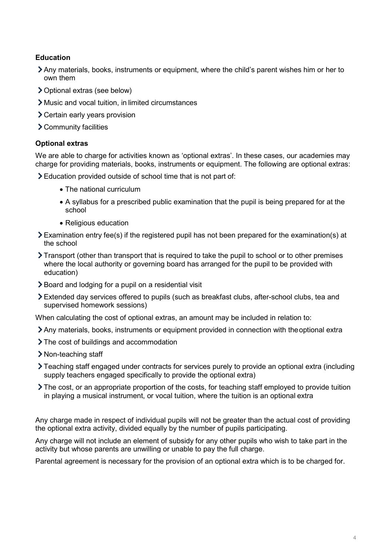#### **Education**

- Any materials, books, instruments or equipment, where the child's parent wishes him or her to own them
- Optional extras (see below)
- Music and vocal tuition, in limited circumstances
- Certain early years provision
- Community facilities

#### **Optional extras**

We are able to charge for activities known as 'optional extras'. In these cases, our academies may charge for providing materials, books, instruments or equipment. The following are optional extras:

Education provided outside of school time that is not part of:

- The national curriculum
- A syllabus for a prescribed public examination that the pupil is being prepared for at the school
- Religious education
- $\geq$  Examination entry fee(s) if the registered pupil has not been prepared for the examination(s) at the school
- $\sum$  Transport (other than transport that is required to take the pupil to school or to other premises where the local authority or governing board has arranged for the pupil to be provided with education)
- **E** Board and lodging for a pupil on a residential visit
- Extended day services offered to pupils (such as breakfast clubs, after-school clubs, tea and supervised homework sessions)

When calculating the cost of optional extras, an amount may be included in relation to:

- Any materials, books, instruments or equipment provided in connection with theoptional extra
- > The cost of buildings and accommodation
- > Non-teaching staff
- Teaching staff engaged under contracts for services purely to provide an optional extra (including supply teachers engaged specifically to provide the optional extra)
- The cost, or an appropriate proportion of the costs, for teaching staff employed to provide tuition in playing a musical instrument, or vocal tuition, where the tuition is an optional extra

Any charge made in respect of individual pupils will not be greater than the actual cost of providing the optional extra activity, divided equally by the number of pupils participating.

Any charge will not include an element of subsidy for any other pupils who wish to take part in the activity but whose parents are unwilling or unable to pay the full charge.

Parental agreement is necessary for the provision of an optional extra which is to be charged for.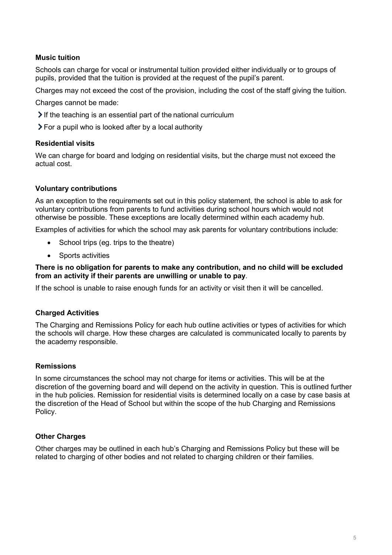#### **Music tuition**

Schools can charge for vocal or instrumental tuition provided either individually or to groups of pupils, provided that the tuition is provided at the request of the pupil's parent.

Charges may not exceed the cost of the provision, including the cost of the staff giving the tuition.

Charges cannot be made:

 $\geq$  If the teaching is an essential part of the national curriculum

For a pupil who is looked after by a local authority

#### **Residential visits**

We can charge for board and lodging on residential visits, but the charge must not exceed the actual cost.

#### **Voluntary contributions**

As an exception to the requirements set out in this policy statement, the school is able to ask for voluntary contributions from parents to fund activities during school hours which would not otherwise be possible. These exceptions are locally determined within each academy hub.

Examples of activities for which the school may ask parents for voluntary contributions include:

- School trips (eg. trips to the theatre)
- Sports activities

#### **There is no obligation for parents to make any contribution, and no child will be excluded from an activity if their parents are unwilling or unable to pay**.

If the school is unable to raise enough funds for an activity or visit then it will be cancelled.

#### **Charged Activities**

The Charging and Remissions Policy for each hub outline activities or types of activities for which the schools will charge. How these charges are calculated is communicated locally to parents by the academy responsible.

#### **Remissions**

In some circumstances the school may not charge for items or activities. This will be at the discretion of the governing board and will depend on the activity in question. This is outlined further in the hub policies. Remission for residential visits is determined locally on a case by case basis at the discretion of the Head of School but within the scope of the hub Charging and Remissions Policy.

#### **Other Charges**

Other charges may be outlined in each hub's Charging and Remissions Policy but these will be related to charging of other bodies and not related to charging children or their families.